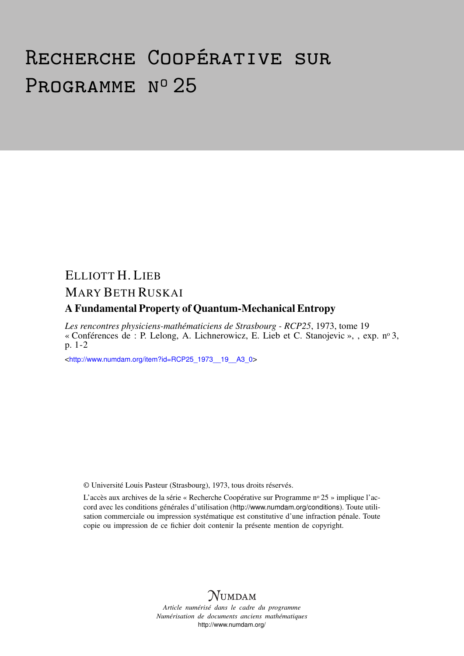# Recherche Coopérative sur PROGRAMME Nº 25

# ELLIOTT H. LIEB MARY BETH RUSKAI

## A Fundamental Property of Quantum-Mechanical Entropy

*Les rencontres physiciens-mathématiciens de Strasbourg - RCP25*, 1973, tome 19 « Conférences de : P. Lelong, A. Lichnerowicz, E. Lieb et C. Stanojevic », , exp. n<sup>o</sup> 3, p. 1-2

<[http://www.numdam.org/item?id=RCP25\\_1973\\_\\_19\\_\\_A3\\_0](http://www.numdam.org/item?id=RCP25_1973__19__A3_0)>

© Université Louis Pasteur (Strasbourg), 1973, tous droits réservés.

L'accès aux archives de la série « Recherche Coopérative sur Programme nº 25 » implique l'accord avec les conditions générales d'utilisation (<http://www.numdam.org/conditions>). Toute utilisation commerciale ou impression systématique est constitutive d'une infraction pénale. Toute copie ou impression de ce fichier doit contenir la présente mention de copyright.



*Article numérisé dans le cadre du programme Numérisation de documents anciens mathématiques* <http://www.numdam.org/>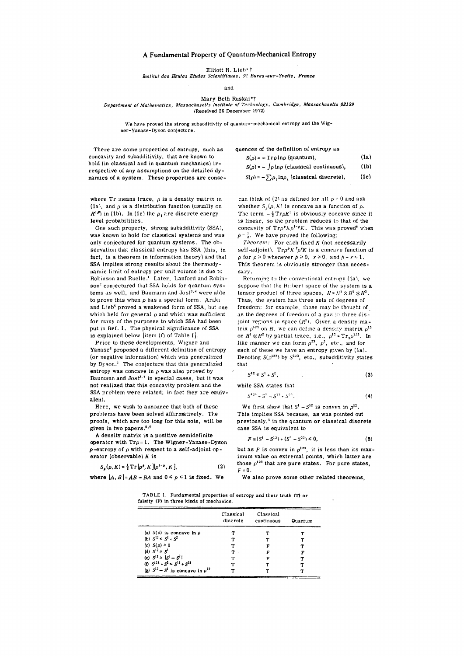### **A Fundamental Property of Quantum-Mechanical Entropy**

**Elliott H. Lien\* f** 

*bistitut des Hautes Etudes Scientifiques, 91 Bures-sur-Yvette, France* 

**and** 

#### **Mary Beth Ruskai\*f**  *Department of Mathematics, Massachusetts Institute of Technology, Cambridge, Massachusetts 02139*  **(Received 26 December 1972)**

We have proved the strong subadditivity of quantum-mechanical entropy and the Wig**ner-Yanase-Dyson conjecture.** 

**There are some properties of entropy, such as concavity and subadditivity, that are known to hold (in classical and in quantum mechanics) ir respective of any assumptions on the detailed dynamics of a system. These properties are conse-** **quences of the definition of entropy as**   $S(\rho) = - \operatorname{Tr} \rho \ln \rho$  (quantum), (1a)  $S(\rho) = -\int \rho \ln \rho$  (classical continuous), (1b)  $S(\rho) = -\sum \rho_i \ln \rho_i$  (classical discrete), (1c)

where  $Tr$  means trace,  $\rho$  is a density matrix in **(la), and p is a distribution function (usually on**   $R^3$ ) in (1b). In (1c) the  $\rho_i$  are discrete energy **level probabilities.** 

**One such property, strong subadditivity (SSA), was known to hold for classical systems and was only conjectured for quantum systems. The observation that classical entropy has SSA (this, in fact, is a theorem in information theory) and that SSA implies strong results about the thermodynamic limit of entropy per unit volume is due to**  Robinson and Ruelle.<sup>1</sup> Later, Lanford and Robin**son<sup>2</sup> conjectured that SSA holds for quantum systems as well, and Baumann and Jost<sup>3</sup> -'1 were able to prove this when p has a special form. Araki and Lieb<sup>5</sup> proved a weakened form of SSA, but one**  which held for general  $\rho$  and which was sufficient **for many of the purposes to which SSA had been put in Ref. 1. The physical significance of SSA**  is explained below *litem* (f) of Table I.

**Prior to these developments, Wigner and Yanase <sup>6</sup> proposed a different definition of entropy (or negative information) which was generalized by Dyson. <sup>6</sup> The conjecture that this generalized entropy was concave in p was also proved by**  Baumann and Jost<sup>3,7</sup> in special cases, but it was **not realized that this concavity problem and the SSA** problem were related; in fact they are equiv**alent.** 

**Here, we wish to announce that both of these problems have been solved affirmatively. The proofs, which are too long for this note, wilLbe given in two papers. <sup>8</sup> \* 9** 

**A density matrix is a positive semidefinite operator with Trp = l. The Wigner-Yanase-Dyson**  *p***-entropy of p with respect to a self-adjoint operator (observable)** *K* **is** 

$$
S_{\mu}(\rho, K) = \frac{1}{2} \operatorname{Tr} \left[ \rho^{\rho}, K \right] \left[ \rho^{1-\rho}, K \right], \tag{2}
$$

**where**  $[A, B] = AB - BA$  **and**  $0 \leq p \leq 1$  **is fixed. We** 

can **think** of **(2)** as **defined** for **all** *p \** **0 and ask**  whether  $S_p(\rho, K)$  is concave as a function of  $\rho$ . The term  $-\frac{1}{2} Tr \rho K^2$  is obviously concave since it **is linear, so the problem reduces** to **that of the**  concavity of  $Tr \rho^p h \rho^{1-p} K$ . This was proved<sup>6</sup> when  $p = \frac{1}{2}$ . We have proved the following:

*Theorem:* **For** each **fixed A (not necessarily**   $self-adjoint), Tr \rho^p K^{\dagger} \rho^r K$  is a concave function of  $p$  for  $p \ge 0$  whenever  $p \ge 0$ ,  $r \ge 0$ , and  $p + r \le 1$ . **This theorem is obviously stronger than necessary.** 

**Returning** to the **conventional entropy (la), we**  suppose that the **Hilbert** space of the system **is a tensor product of three spaces,**  $H = H^1 \otimes H^2 \otimes H^3$ . Thus, the system has three **sets** of degrees of **freedom;** for example, these may be thought **of as** the degrees of freedom **of a** gas in three dis**joint regions in** space *{R\*).* **Given** a **density ma-** ${\bf trix}$   $\rho^{123}$  on *H*, we can define a density matrix  $\rho^{12}$ on  $H^1 \otimes H^2$  by partial trace, i.e.,  $p^{12} = Tr_p p^{123}$ . In like manner we can form  $\rho^{23}$ ,  $\rho^2$ , etc., and for **each** of these we have **an entropy given by (la).**  Denoting  $S(\rho^{123})$  by  $S^{123}$ , etc., subadditivity states **that** 

$$
S^{12} \leq S^1 + S^2, \tag{3}
$$

**while SSA states that** 

$$
S^{124} + S^2 \approx S^{12} + S^{24}. \tag{4}
$$

We first show that  $S^1 - S^{12}$  is convex in  $\rho^{12}$ . **This implies SSA because, as was pointed out previously, <sup>5</sup> in the quantum or classical discrete case SSA is equivalent to** 

$$
F \equiv (S^1 - S^{12}) + (S^2 - S^{23}) \le 0,
$$
 (5)

but as *F* is convex in  $\rho^{123}$ , it is less than its max**imum value on extremal points, which latter are**  those  $\rho^{123}$  that are pure states. For pure states, *F = 0.* 

**We also prove some other related theorems,** 

**TABL E I. Fundamental properties of entropy and their truth (T) or falsity (F) In three kinds of mechanics** 

|                                           | Classical<br>discrete | Classical<br>continuous | Quantum |
|-------------------------------------------|-----------------------|-------------------------|---------|
| (a) $S(\rho)$ is concave in $\rho$        |                       |                         |         |
| (b) $S^{12} \le S^1 + S^2$                |                       |                         |         |
| (c) $S(\rho) \ge 0$                       | т                     | F                       |         |
| (d) $S^{12} \ge S^1$                      |                       |                         |         |
| (e) $S^{12} \ge  S^1 - S^2 $              |                       | F                       |         |
| (f) $S^{123} + S^2 \le S^{12} + S^{23}$   |                       |                         |         |
| (g) $S^{12} - S^1$ is concave in $p^{12}$ |                       |                         |         |